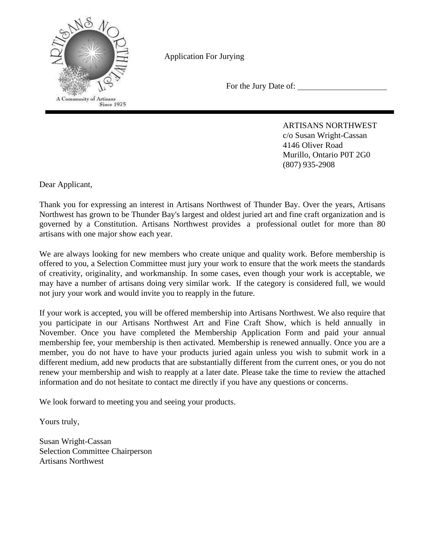

Application For Jurying

For the Jury Date of:

ARTISANS NORTHWEST c/o Susan Wright-Cassan 4146 Oliver Road Murillo, Ontario P0T 2G0 (807) 935-2908

Dear Applicant,

Thank you for expressing an interest in Artisans Northwest of Thunder Bay. Over the years, Artisans Northwest has grown to be Thunder Bay's largest and oldest juried art and fine craft organization and is governed by a Constitution. Artisans Northwest provides a professional outlet for more than 80 artisans with one major show each year.

We are always looking for new members who create unique and quality work. Before membership is offered to you, a Selection Committee must jury your work to ensure that the work meets the standards of creativity, originality, and workmanship. In some cases, even though your work is acceptable, we may have a number of artisans doing very similar work. If the category is considered full, we would not jury your work and would invite you to reapply in the future.

If your work is accepted, you will be offered membership into Artisans Northwest. We also require that you participate in our Artisans Northwest Art and Fine Craft Show, which is held annually in November. Once you have completed the Membership Application Form and paid your annual membership fee, your membership is then activated. Membership is renewed annually. Once you are a member, you do not have to have your products juried again unless you wish to submit work in a different medium, add new products that are substantially different from the current ones, or you do not renew your membership and wish to reapply at a later date. Please take the time to review the attached information and do not hesitate to contact me directly if you have any questions or concerns.

We look forward to meeting you and seeing your products.

Yours truly,

Susan Wright-Cassan Selection Committee Chairperson Artisans Northwest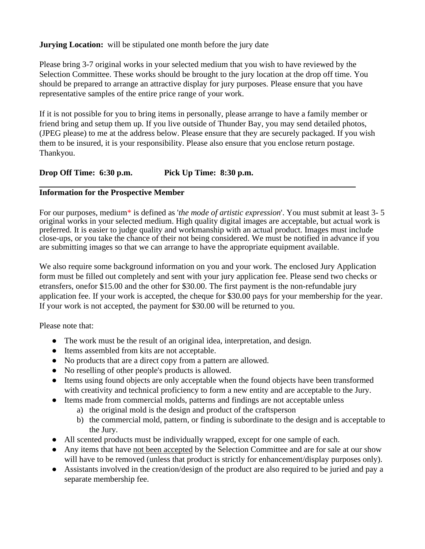**Jurying Location:** will be stipulated one month before the jury date

Please bring 3-7 original works in your selected medium that you wish to have reviewed by the Selection Committee. These works should be brought to the jury location at the drop off time. You should be prepared to arrange an attractive display for jury purposes. Please ensure that you have representative samples of the entire price range of your work.

If it is not possible for you to bring items in personally, please arrange to have a family member or friend bring and setup them up. If you live outside of Thunder Bay, you may send detailed photos, (JPEG please) to me at the address below. Please ensure that they are securely packaged. If you wish them to be insured, it is your responsibility. Please also ensure that you enclose return postage. Thankyou.

## **Drop Off Time: 6:30 p.m. Pick Up Time: 8:30 p.m.**

## **Information for the Prospective Member**

For our purposes, medium\* is defined as '*the mode of artistic expression*'. You must submit at least 3- 5 original works in your selected medium. High quality digital images are acceptable, but actual work is preferred. It is easier to judge quality and workmanship with an actual product. Images must include close-ups, or you take the chance of their not being considered. We must be notified in advance if you are submitting images so that we can arrange to have the appropriate equipment available.

We also require some background information on you and your work. The enclosed Jury Application form must be filled out completely and sent with your jury application fee. Please send two checks or etransfers, onefor \$15.00 and the other for \$30.00. The first payment is the non-refundable jury application fee. If your work is accepted, the cheque for \$30.00 pays for your membership for the year. If your work is not accepted, the payment for \$30.00 will be returned to you.

Please note that:

- The work must be the result of an original idea, interpretation, and design.
- Items assembled from kits are not acceptable.
- No products that are a direct copy from a pattern are allowed.
- No reselling of other people's products is allowed.
- Items using found objects are only acceptable when the found objects have been transformed with creativity and technical proficiency to form a new entity and are acceptable to the Jury.
- Items made from commercial molds, patterns and findings are not acceptable unless
	- a) the original mold is the design and product of the craftsperson
	- b) the commercial mold, pattern, or finding is subordinate to the design and is acceptable to the Jury.
- All scented products must be individually wrapped, except for one sample of each.
- Any items that have not been accepted by the Selection Committee and are for sale at our show will have to be removed (unless that product is strictly for enhancement/display purposes only).
- Assistants involved in the creation/design of the product are also required to be juried and pay a separate membership fee.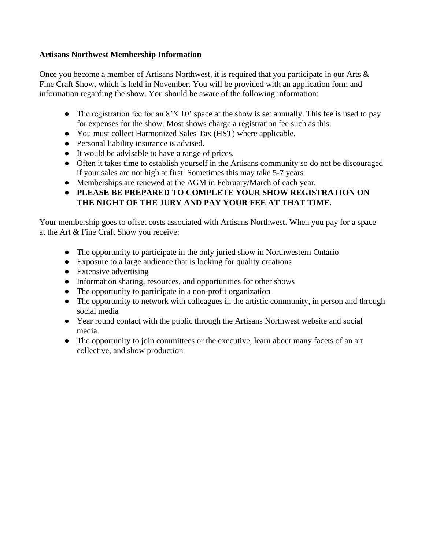## **Artisans Northwest Membership Information**

Once you become a member of Artisans Northwest, it is required that you participate in our Arts & Fine Craft Show, which is held in November. You will be provided with an application form and information regarding the show. You should be aware of the following information:

- The registration fee for an  $8'X 10'$  space at the show is set annually. This fee is used to pay for expenses for the show. Most shows charge a registration fee such as this.
- You must collect Harmonized Sales Tax (HST) where applicable.
- Personal liability insurance is advised.
- It would be advisable to have a range of prices.
- Often it takes time to establish yourself in the Artisans community so do not be discouraged if your sales are not high at first. Sometimes this may take 5-7 years.
- Memberships are renewed at the AGM in February/March of each year.
- **● PLEASE BE PREPARED TO COMPLETE YOUR SHOW REGISTRATION ON THE NIGHT OF THE JURY AND PAY YOUR FEE AT THAT TIME.**

Your membership goes to offset costs associated with Artisans Northwest. When you pay for a space at the Art & Fine Craft Show you receive:

- The opportunity to participate in the only juried show in Northwestern Ontario
- Exposure to a large audience that is looking for quality creations
- Extensive advertising
- Information sharing, resources, and opportunities for other shows
- The opportunity to participate in a non-profit organization
- The opportunity to network with colleagues in the artistic community, in person and through social media
- Year round contact with the public through the Artisans Northwest website and social media.
- The opportunity to join committees or the executive, learn about many facets of an art collective, and show production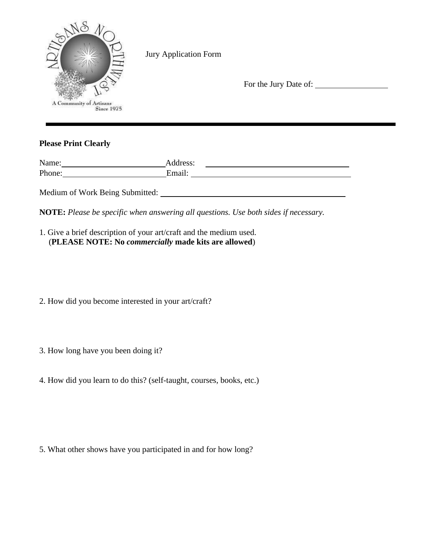| A Community of Artisans<br>Since 1975 | Jury Application Form | For the Jury Date of: |  |
|---------------------------------------|-----------------------|-----------------------|--|
|                                       |                       |                       |  |

## **Please Print Clearly**

| Name:  | Address: |
|--------|----------|
| Phone: | Email:   |
|        |          |

Medium of Work Being Submitted:

**NOTE:** *Please be specific when answering all questions. Use both sides if necessary.*

| 1. Give a brief description of your art/craft and the medium used. |  |  |
|--------------------------------------------------------------------|--|--|
| (PLEASE NOTE: No <i>commercially</i> made kits are allowed)        |  |  |

2. How did you become interested in your art/craft?

3. How long have you been doing it?

4. How did you learn to do this? (self-taught, courses, books, etc.)

5. What other shows have you participated in and for how long?